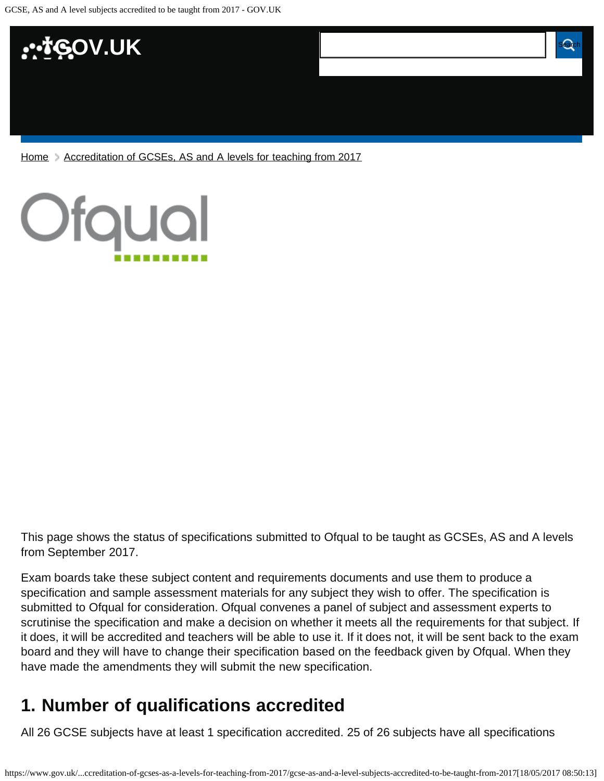

[Home](https://www.gov.uk/) > [Accreditation of GCSEs, AS and A levels for teaching from 2017](https://www.gov.uk/government/publications/accreditation-of-gcses-as-a-levels-for-teaching-from-2017)



This page shows the status of specifications submitted to Ofqual to be taught as GCSEs, AS and A levels from September 2017.

Exam boards take these subject content and requirements documents and use them to produce a specification and sample assessment materials for any subject they wish to offer. The specification is submitted to Ofqual for consideration. Ofqual convenes a panel of subject and assessment experts to scrutinise the specification and make a decision on whether it meets all the requirements for that subject. If it does, it will be accredited and teachers will be able to use it. If it does not, it will be sent back to the exam board and they will have to change their specification based on the feedback given by Ofqual. When they have made the amendments they will submit the new specification.

# <span id="page-0-0"></span>**1. Number of qualifications accredited**

All 26 GCSE subjects have at least 1 specification accredited. 25 of 26 subjects have all specifications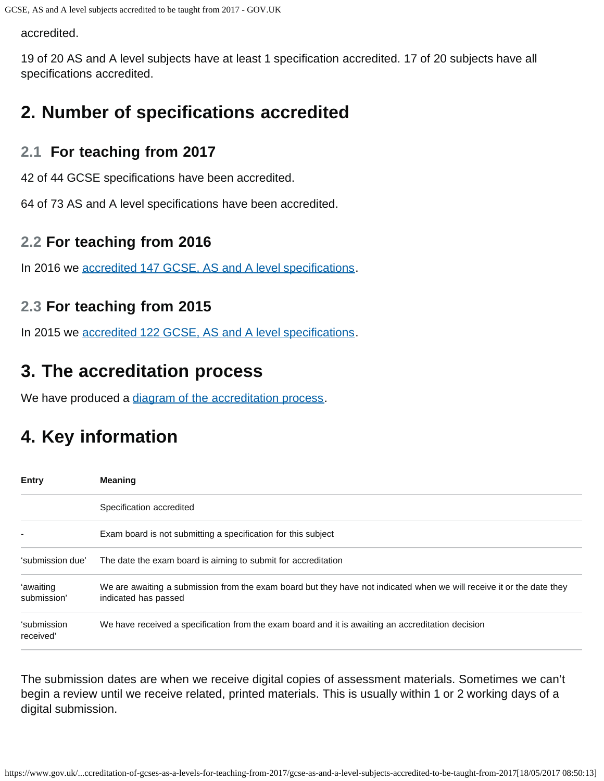accredited.

19 of 20 AS and A level subjects have at least 1 specification accredited. 17 of 20 subjects have all specifications accredited.

# <span id="page-1-0"></span>**2. Number of specifications accredited**

### **2.1 For teaching from 2017**

42 of 44 GCSE specifications have been accredited.

64 of 73 AS and A level specifications have been accredited.

### **2.2 For teaching from 2016**

In 2016 we [accredited 147 GCSE, AS and A level specifications.](https://www.gov.uk/government/publications/accreditation-of-gcses-as-a-levels-for-teaching-from-2016)

## **2.3 For teaching from 2015**

In 2015 we [accredited 122 GCSE, AS and A level specifications.](https://www.gov.uk/government/publications/new-gcses-as-and-a-levels-accredited-to-be-taught-from-2015)

# <span id="page-1-1"></span>**3. The accreditation process**

We have produced a [diagram of the accreditation process.](https://www.gov.uk/government/publications/your-qualification-our-regulation-gcse-as-and-a-level-reforms#attachment_1634078)

# <span id="page-1-2"></span>**4. Key information**

| <b>Entry</b>             | <b>Meaning</b>                                                                                                                                |
|--------------------------|-----------------------------------------------------------------------------------------------------------------------------------------------|
|                          | Specification accredited                                                                                                                      |
|                          | Exam board is not submitting a specification for this subject                                                                                 |
| 'submission due'         | The date the exam board is aiming to submit for accreditation                                                                                 |
| 'awaiting<br>submission' | We are awaiting a submission from the exam board but they have not indicated when we will receive it or the date they<br>indicated has passed |
| 'submission<br>received' | We have received a specification from the exam board and it is awaiting an accreditation decision                                             |

The submission dates are when we receive digital copies of assessment materials. Sometimes we can't begin a review until we receive related, printed materials. This is usually within 1 or 2 working days of a digital submission.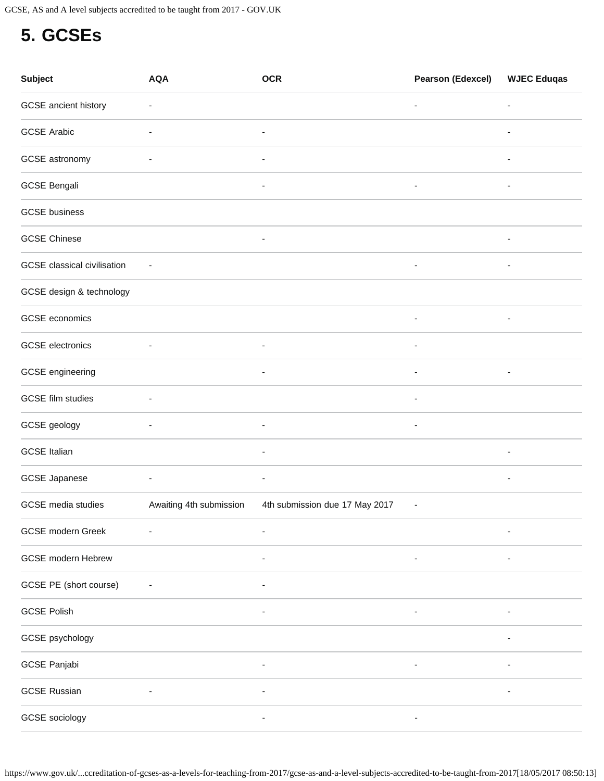GCSE, AS and A level subjects accredited to be taught from 2017 - GOV.UK

# <span id="page-2-0"></span>**5. GCSEs**

| Subject                            | <b>AQA</b>               | <b>OCR</b>                     | <b>Pearson (Edexcel)</b>     | <b>WJEC Eduqas</b>       |
|------------------------------------|--------------------------|--------------------------------|------------------------------|--------------------------|
| GCSE ancient history               | ٠                        |                                | $\overline{\phantom{a}}$     | $\overline{\phantom{a}}$ |
| <b>GCSE Arabic</b>                 | ٠                        | ٠                              |                              | $\overline{\phantom{a}}$ |
| GCSE astronomy                     | $\overline{\phantom{a}}$ | $\overline{\phantom{a}}$       |                              | $\overline{\phantom{a}}$ |
| <b>GCSE Bengali</b>                |                          |                                | $\overline{\phantom{a}}$     |                          |
| <b>GCSE</b> business               |                          |                                |                              |                          |
| <b>GCSE Chinese</b>                |                          | $\overline{\phantom{a}}$       |                              | $\overline{\phantom{a}}$ |
| <b>GCSE</b> classical civilisation | $\overline{\phantom{a}}$ |                                | $\overline{\phantom{a}}$     | ٠                        |
| GCSE design & technology           |                          |                                |                              |                          |
| GCSE economics                     |                          |                                | $\qquad \qquad \blacksquare$ | $\overline{\phantom{a}}$ |
| <b>GCSE</b> electronics            | ٠                        | ٠                              | $\overline{\phantom{a}}$     |                          |
| GCSE engineering                   |                          | $\overline{\phantom{a}}$       | $\overline{\phantom{a}}$     | $\overline{\phantom{a}}$ |
| <b>GCSE</b> film studies           |                          |                                |                              |                          |
| GCSE geology                       | ٠                        | $\overline{\phantom{a}}$       | $\qquad \qquad \blacksquare$ |                          |
| <b>GCSE Italian</b>                |                          | ٠                              |                              | $\overline{\phantom{a}}$ |
| <b>GCSE Japanese</b>               | $\overline{\phantom{a}}$ | $\overline{\phantom{a}}$       |                              | $\overline{\phantom{a}}$ |
| <b>GCSE</b> media studies          | Awaiting 4th submission  | 4th submission due 17 May 2017 | $\overline{\phantom{a}}$     |                          |
| GCSE modern Greek                  |                          |                                |                              |                          |
| <b>GCSE</b> modern Hebrew          |                          |                                |                              |                          |
| GCSE PE (short course)             |                          |                                |                              |                          |
| <b>GCSE Polish</b>                 |                          |                                |                              |                          |
| GCSE psychology                    |                          |                                |                              |                          |
| GCSE Panjabi                       |                          |                                |                              |                          |
| <b>GCSE Russian</b>                |                          |                                |                              |                          |
| GCSE sociology                     |                          |                                |                              |                          |

https://www.gov.uk/...ccreditation-of-gcses-as-a-levels-for-teaching-from-2017/gcse-as-and-a-level-subjects-accredited-to-be-taught-from-2017[18/05/2017 08:50:13]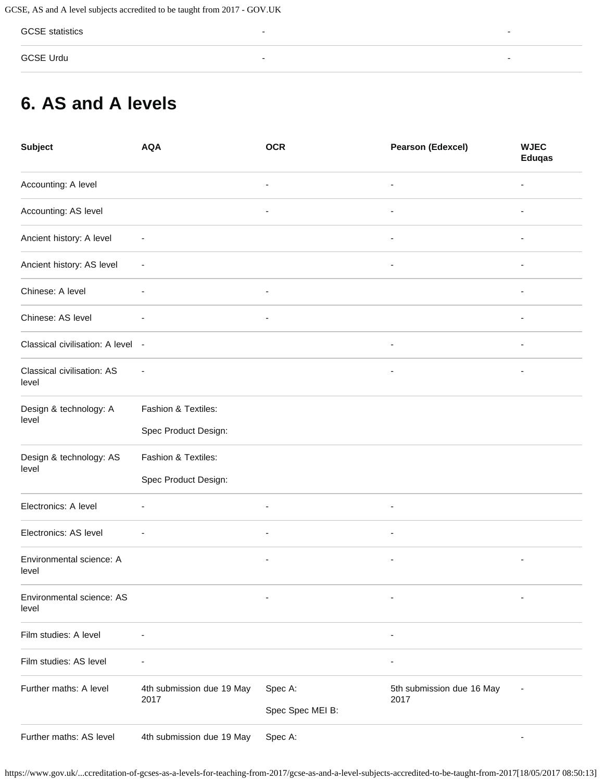GCSE statistics - -

GCSE Urdu - -

## <span id="page-3-0"></span>**6. AS and A levels**

| <b>Subject</b>                      | <b>AQA</b>                                  | <b>OCR</b>                  | <b>Pearson (Edexcel)</b>          | <b>WJEC</b><br><b>Eduqas</b> |
|-------------------------------------|---------------------------------------------|-----------------------------|-----------------------------------|------------------------------|
| Accounting: A level                 |                                             |                             | ä,                                |                              |
| Accounting: AS level                |                                             | ۰                           | $\overline{\phantom{a}}$          | ۰                            |
| Ancient history: A level            | $\overline{\phantom{a}}$                    |                             | ٠                                 |                              |
| Ancient history: AS level           | $\overline{a}$                              |                             | $\overline{a}$                    |                              |
| Chinese: A level                    |                                             |                             |                                   |                              |
| Chinese: AS level                   |                                             | $\overline{\phantom{a}}$    |                                   | $\overline{\phantom{a}}$     |
| Classical civilisation: A level -   |                                             |                             | $\blacksquare$                    |                              |
| Classical civilisation: AS<br>level |                                             |                             |                                   |                              |
| Design & technology: A<br>level     | Fashion & Textiles:<br>Spec Product Design: |                             |                                   |                              |
| Design & technology: AS<br>level    | Fashion & Textiles:<br>Spec Product Design: |                             |                                   |                              |
| Electronics: A level                | ۰                                           | $\overline{\phantom{a}}$    | $\overline{\phantom{a}}$          |                              |
| Electronics: AS level               | $\overline{\phantom{a}}$                    | $\overline{\phantom{a}}$    | ÷,                                |                              |
| Environmental science: A<br>level   |                                             |                             |                                   | $\overline{\phantom{a}}$     |
| Environmental science: AS<br>level  |                                             |                             |                                   | -                            |
| Film studies: A level               |                                             |                             |                                   |                              |
| Film studies: AS level              |                                             |                             |                                   |                              |
| Further maths: A level              | 4th submission due 19 May<br>2017           | Spec A:<br>Spec Spec MEI B: | 5th submission due 16 May<br>2017 |                              |
| Further maths: AS level             | 4th submission due 19 May                   | Spec A:                     |                                   |                              |

https://www.gov.uk/...ccreditation-of-gcses-as-a-levels-for-teaching-from-2017/gcse-as-and-a-level-subjects-accredited-to-be-taught-from-2017[18/05/2017 08:50:13]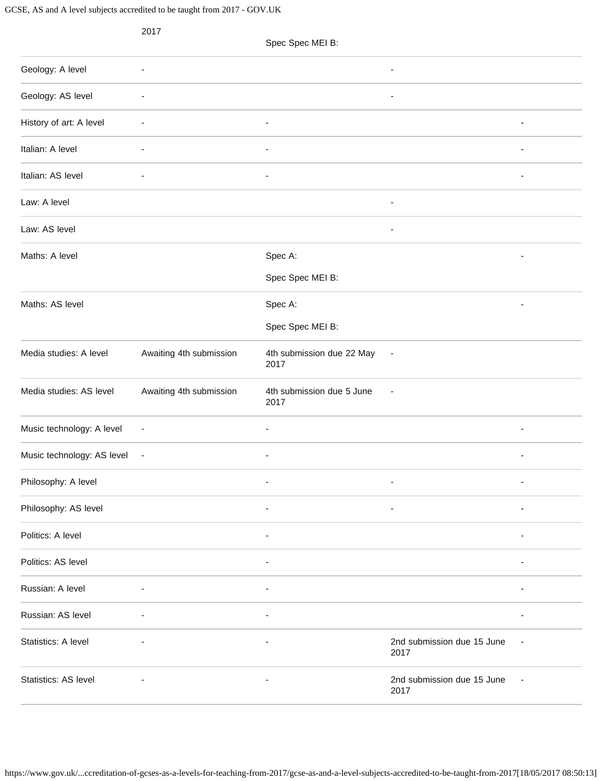GCSE, AS and A level subjects accredited to be taught from 2017 - GOV.UK

|                            | 2017                     | Spec Spec MEI B:                  |                                    |                          |
|----------------------------|--------------------------|-----------------------------------|------------------------------------|--------------------------|
| Geology: A level           | $\overline{a}$           |                                   | $\overline{\phantom{a}}$           |                          |
| Geology: AS level          | ٠                        |                                   | $\overline{\phantom{a}}$           |                          |
| History of art: A level    | ÷,                       | $\overline{\phantom{a}}$          |                                    | $\overline{\phantom{a}}$ |
| Italian: A level           |                          |                                   |                                    |                          |
| Italian: AS level          |                          | ÷,                                |                                    | ÷,                       |
| Law: A level               |                          |                                   | $\overline{\phantom{a}}$           |                          |
| Law: AS level              |                          |                                   | $\overline{\phantom{a}}$           |                          |
| Maths: A level             |                          | Spec A:                           |                                    |                          |
|                            |                          | Spec Spec MEI B:                  |                                    |                          |
| Maths: AS level            |                          | Spec A:                           |                                    |                          |
|                            |                          | Spec Spec MEI B:                  |                                    |                          |
| Media studies: A level     | Awaiting 4th submission  | 4th submission due 22 May<br>2017 | $\overline{\phantom{a}}$           |                          |
| Media studies: AS level    | Awaiting 4th submission  | 4th submission due 5 June<br>2017 | ٠                                  |                          |
| Music technology: A level  | $\overline{\phantom{a}}$ | ۰.                                |                                    | $\overline{\phantom{a}}$ |
| Music technology: AS level | $\overline{\phantom{a}}$ |                                   |                                    |                          |
| Philosophy: A level        |                          | ÷,                                | ÷,                                 | $\overline{\phantom{a}}$ |
| Philosophy: AS level       |                          |                                   |                                    |                          |
| Politics: A level          |                          |                                   |                                    |                          |
| Politics: AS level         |                          | ٠                                 |                                    |                          |
| Russian: A level           | $\overline{\phantom{a}}$ | $\overline{\phantom{a}}$          |                                    | $\overline{\phantom{a}}$ |
| Russian: AS level          |                          |                                   |                                    |                          |
| Statistics: A level        |                          | ٠                                 | 2nd submission due 15 June<br>2017 | $\overline{\phantom{a}}$ |
| Statistics: AS level       |                          | ٠                                 | 2nd submission due 15 June<br>2017 |                          |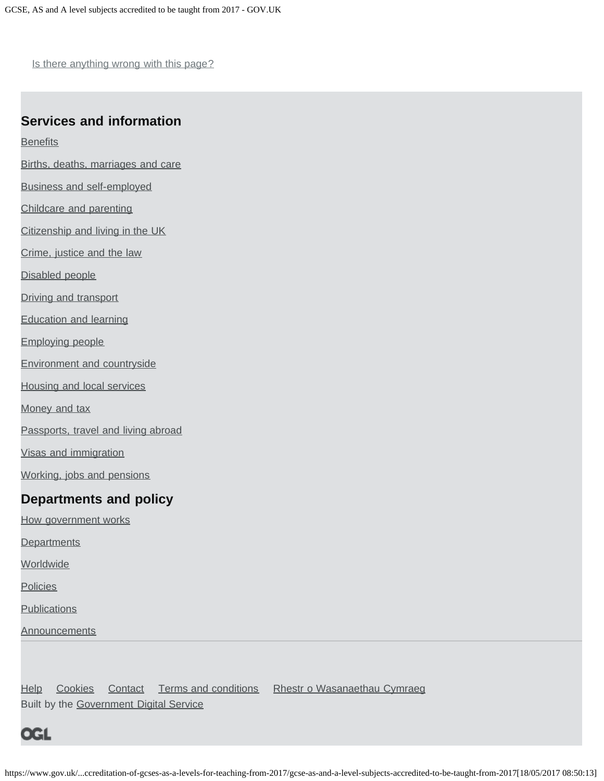Is there anything wrong with this page?

#### **Services and information**

**[Benefits](https://www.gov.uk/browse/benefits)** 

- [Births, deaths, marriages and care](https://www.gov.uk/browse/births-deaths-marriages)
- [Business and self-employed](https://www.gov.uk/browse/business)
- [Childcare and parenting](https://www.gov.uk/browse/childcare-parenting)
- [Citizenship and living in the UK](https://www.gov.uk/browse/citizenship)
- [Crime, justice and the law](https://www.gov.uk/browse/justice)
- [Disabled people](https://www.gov.uk/browse/disabilities)
- [Driving and transport](https://www.gov.uk/browse/driving)
- [Education and learning](https://www.gov.uk/browse/education)
- [Employing people](https://www.gov.uk/browse/employing-people)
- [Environment and countryside](https://www.gov.uk/browse/environment-countryside)
- [Housing and local services](https://www.gov.uk/browse/housing-local-services)
- [Money and tax](https://www.gov.uk/browse/tax)
- [Passports, travel and living abroad](https://www.gov.uk/browse/abroad)
- [Visas and immigration](https://www.gov.uk/browse/visas-immigration)
- [Working, jobs and pensions](https://www.gov.uk/browse/working)

#### **Departments and policy**

- [How government works](https://www.gov.uk/government/how-government-works)
- **[Departments](https://www.gov.uk/government/organisations)**
- **[Worldwide](https://www.gov.uk/government/world)**
- **[Policies](https://www.gov.uk/government/policies)**
- **[Publications](https://www.gov.uk/government/publications)**
- **[Announcements](https://www.gov.uk/government/announcements)**

[Help](https://www.gov.uk/help) [Cookies](https://www.gov.uk/help/cookies) [Contact](https://www.gov.uk/contact) [Terms and conditions](https://www.gov.uk/help/terms-conditions) [Rhestr o Wasanaethau Cymraeg](https://www.gov.uk/cymraeg) Built by the [Government Digital Service](https://www.gov.uk/government/organisations/government-digital-service)